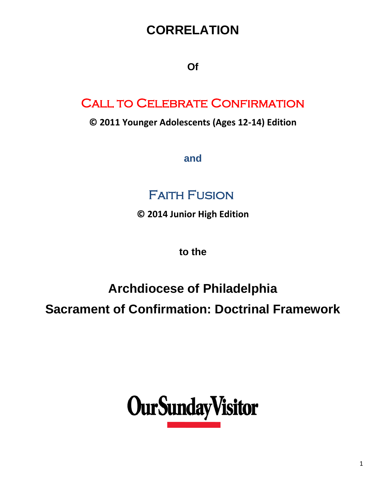## **CORRELATION**

**Of**

## Call to Celebrate Confirmation

**© 2011 Younger Adolescents (Ages 12-14) Edition**

**and** 

## Faith Fusion

**© 2014 Junior High Edition**

**to the** 

## **Archdiocese of Philadelphia**

**Sacrament of Confirmation: Doctrinal Framework**

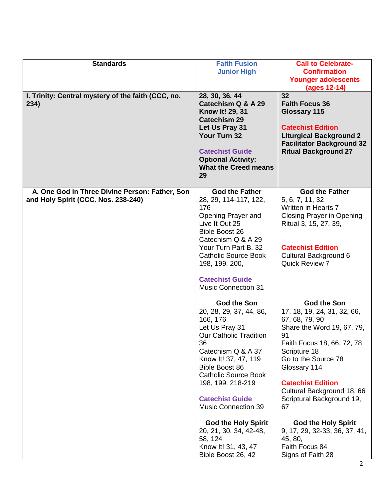| <b>Standards</b>                                           | <b>Faith Fusion</b>                                                                                                                                                                                                                                                                            | <b>Call to Celebrate-</b>                                                                                                                                                                                                                                                                 |
|------------------------------------------------------------|------------------------------------------------------------------------------------------------------------------------------------------------------------------------------------------------------------------------------------------------------------------------------------------------|-------------------------------------------------------------------------------------------------------------------------------------------------------------------------------------------------------------------------------------------------------------------------------------------|
|                                                            | <b>Junior High</b>                                                                                                                                                                                                                                                                             | <b>Confirmation</b>                                                                                                                                                                                                                                                                       |
|                                                            |                                                                                                                                                                                                                                                                                                | <b>Younger adolescents</b>                                                                                                                                                                                                                                                                |
|                                                            |                                                                                                                                                                                                                                                                                                | (ages 12-14)                                                                                                                                                                                                                                                                              |
| I. Trinity: Central mystery of the faith (CCC, no.<br>234) | 28, 30, 36, 44<br>Catechism Q & A 29<br>Know It! 29, 31<br><b>Catechism 29</b><br>Let Us Pray 31<br>Your Turn 32<br><b>Catechist Guide</b><br><b>Optional Activity:</b><br><b>What the Creed means</b><br>29                                                                                   | 32<br><b>Faith Focus 36</b><br>Glossary 115<br><b>Catechist Edition</b><br><b>Liturgical Background 2</b><br><b>Facilitator Background 32</b><br><b>Ritual Background 27</b>                                                                                                              |
| A. One God in Three Divine Person: Father, Son             | <b>God the Father</b>                                                                                                                                                                                                                                                                          | <b>God the Father</b>                                                                                                                                                                                                                                                                     |
| and Holy Spirit (CCC. Nos. 238-240)                        | 28, 29, 114-117, 122,                                                                                                                                                                                                                                                                          | 5, 6, 7, 11, 32                                                                                                                                                                                                                                                                           |
|                                                            | 176                                                                                                                                                                                                                                                                                            | <b>Written in Hearts 7</b>                                                                                                                                                                                                                                                                |
|                                                            | Opening Prayer and<br>Live It Out 25                                                                                                                                                                                                                                                           | <b>Closing Prayer in Opening</b><br>Ritual 3, 15, 27, 39,                                                                                                                                                                                                                                 |
|                                                            | <b>Bible Boost 26</b>                                                                                                                                                                                                                                                                          |                                                                                                                                                                                                                                                                                           |
|                                                            | Catechism Q & A 29                                                                                                                                                                                                                                                                             |                                                                                                                                                                                                                                                                                           |
|                                                            | Your Turn Part B. 32                                                                                                                                                                                                                                                                           | <b>Catechist Edition</b>                                                                                                                                                                                                                                                                  |
|                                                            | <b>Catholic Source Book</b>                                                                                                                                                                                                                                                                    | Cultural Background 6                                                                                                                                                                                                                                                                     |
|                                                            | 198, 199, 200,                                                                                                                                                                                                                                                                                 | Quick Review 7                                                                                                                                                                                                                                                                            |
|                                                            | <b>Catechist Guide</b>                                                                                                                                                                                                                                                                         |                                                                                                                                                                                                                                                                                           |
|                                                            | <b>Music Connection 31</b>                                                                                                                                                                                                                                                                     |                                                                                                                                                                                                                                                                                           |
|                                                            | God the Son<br>20, 28, 29, 37, 44, 86,<br>166, 176<br>Let Us Pray 31<br><b>Our Catholic Tradition</b><br>36<br>Catechism Q & A 37<br>Know It! 37, 47, 119<br><b>Bible Boost 86</b><br><b>Catholic Source Book</b><br>198, 199, 218-219<br><b>Catechist Guide</b><br><b>Music Connection 39</b> | <b>God the Son</b><br>17, 18, 19, 24, 31, 32, 66,<br>67, 68, 79, 90<br>Share the Word 19, 67, 79,<br>91<br>Faith Focus 18, 66, 72, 78<br>Scripture 18<br>Go to the Source 78<br>Glossary 114<br><b>Catechist Edition</b><br>Cultural Background 18, 66<br>Scriptural Background 19,<br>67 |
|                                                            |                                                                                                                                                                                                                                                                                                |                                                                                                                                                                                                                                                                                           |
|                                                            | <b>God the Holy Spirit</b><br>20, 21, 30, 34, 42-48,<br>58, 124<br>Know It! 31, 43, 47<br>Bible Boost 26, 42                                                                                                                                                                                   | <b>God the Holy Spirit</b><br>9, 17, 29, 32-33, 36, 37, 41,<br>45, 80,<br>Faith Focus 84<br>Signs of Faith 28                                                                                                                                                                             |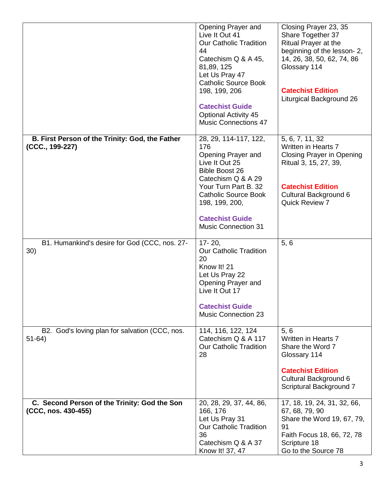|                                                                     | Opening Prayer and<br>Live It Out 41<br><b>Our Catholic Tradition</b><br>44<br>Catechism Q & A 45,<br>81,89, 125<br>Let Us Pray 47<br><b>Catholic Source Book</b><br>198, 199, 206<br><b>Catechist Guide</b><br><b>Optional Activity 45</b><br>Music Connections 47 | Closing Prayer 23, 35<br>Share Together 37<br>Ritual Prayer at the<br>beginning of the lesson-2,<br>14, 26, 38, 50, 62, 74, 86<br>Glossary 114<br><b>Catechist Edition</b><br>Liturgical Background 26 |
|---------------------------------------------------------------------|---------------------------------------------------------------------------------------------------------------------------------------------------------------------------------------------------------------------------------------------------------------------|--------------------------------------------------------------------------------------------------------------------------------------------------------------------------------------------------------|
| B. First Person of the Trinity: God, the Father<br>(CCC., 199-227)  | 28, 29, 114-117, 122,<br>176<br>Opening Prayer and<br>Live It Out 25<br><b>Bible Boost 26</b><br>Catechism Q & A 29<br>Your Turn Part B. 32<br><b>Catholic Source Book</b><br>198, 199, 200,<br><b>Catechist Guide</b><br><b>Music Connection 31</b>                | 5, 6, 7, 11, 32<br>Written in Hearts 7<br><b>Closing Prayer in Opening</b><br>Ritual 3, 15, 27, 39,<br><b>Catechist Edition</b><br>Cultural Background 6<br><b>Quick Review 7</b>                      |
| B1. Humankind's desire for God (CCC, nos. 27-<br>30)                | $17 - 20$ ,<br><b>Our Catholic Tradition</b><br>20<br>Know It! 21<br>Let Us Pray 22<br>Opening Prayer and<br>Live It Out 17<br><b>Catechist Guide</b><br><b>Music Connection 23</b>                                                                                 | 5, 6                                                                                                                                                                                                   |
| B2. God's loving plan for salvation (CCC, nos.<br>$51-64)$          | 114, 116, 122, 124<br>Catechism Q & A 117<br><b>Our Catholic Tradition</b><br>28                                                                                                                                                                                    | 5, 6<br>Written in Hearts 7<br>Share the Word 7<br>Glossary 114<br><b>Catechist Edition</b><br>Cultural Background 6<br>Scriptural Background 7                                                        |
| C. Second Person of the Trinity: God the Son<br>(CCC, nos. 430-455) | 20, 28, 29, 37, 44, 86,<br>166, 176<br>Let Us Pray 31<br><b>Our Catholic Tradition</b><br>36<br>Catechism Q & A 37<br>Know It! 37, 47                                                                                                                               | 17, 18, 19, 24, 31, 32, 66,<br>67, 68, 79, 90<br>Share the Word 19, 67, 79,<br>91<br>Faith Focus 18, 66, 72, 78<br>Scripture 18<br>Go to the Source 78                                                 |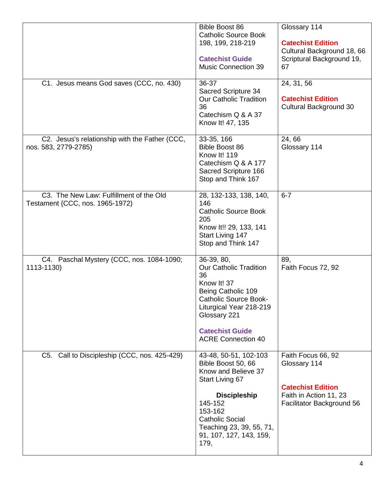| C1. Jesus means God saves (CCC, no. 430)                                   | <b>Bible Boost 86</b><br><b>Catholic Source Book</b><br>198, 199, 218-219<br><b>Catechist Guide</b><br><b>Music Connection 39</b><br>36-37                                                                                  | Glossary 114<br><b>Catechist Edition</b><br>Cultural Background 18, 66<br>Scriptural Background 19,<br>67<br>24, 31, 56 |
|----------------------------------------------------------------------------|-----------------------------------------------------------------------------------------------------------------------------------------------------------------------------------------------------------------------------|-------------------------------------------------------------------------------------------------------------------------|
|                                                                            | Sacred Scripture 34<br><b>Our Catholic Tradition</b><br>36<br>Catechism Q & A 37<br>Know It! 47, 135                                                                                                                        | <b>Catechist Edition</b><br>Cultural Background 30                                                                      |
| C2. Jesus's relationship with the Father (CCC,<br>nos. 583, 2779-2785)     | 33-35, 166<br><b>Bible Boost 86</b><br>Know It! 119<br>Catechism Q & A 177<br>Sacred Scripture 166<br>Stop and Think 167                                                                                                    | 24,66<br>Glossary 114                                                                                                   |
| C3. The New Law: Fulfillment of the Old<br>Testament {CCC, nos. 1965-1972) | 28, 132-133, 138, 140,<br>146<br><b>Catholic Source Book</b><br>205<br>Know It!! 29, 133, 141<br>Start Living 147<br>Stop and Think 147                                                                                     | $6 - 7$                                                                                                                 |
| C4. Paschal Mystery (CCC, nos. 1084-1090;<br>1113-1130)                    | 36-39, 80,<br><b>Our Catholic Tradition</b><br>36<br>Know It! 37<br>Being Catholic 109<br><b>Catholic Source Book-</b><br>Liturgical Year 218-219<br>Glossary 221<br><b>Catechist Guide</b><br><b>ACRE Connection 40</b>    | 89,<br>Faith Focus 72, 92                                                                                               |
| C5. Call to Discipleship (CCC, nos. 425-429)                               | 43-48, 50-51, 102-103<br>Bible Boost 50, 66<br>Know and Believe 37<br>Start Living 67<br><b>Discipleship</b><br>145-152<br>153-162<br><b>Catholic Social</b><br>Teaching 23, 39, 55, 71,<br>91, 107, 127, 143, 159,<br>179, | Faith Focus 66, 92<br>Glossary 114<br><b>Catechist Edition</b><br>Faith in Action 11, 23<br>Facilitator Background 56   |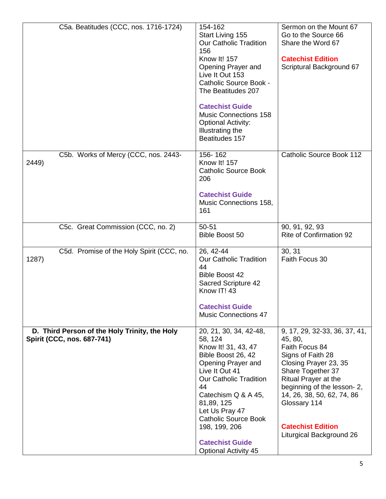| C5a. Beatitudes (CCC, nos. 1716-1724)                                       | 154-162<br>Start Living 155<br><b>Our Catholic Tradition</b><br>156<br>Know It! 157<br>Opening Prayer and<br>Live It Out 153<br><b>Catholic Source Book -</b><br>The Beatitudes 207<br><b>Catechist Guide</b><br><b>Music Connections 158</b><br><b>Optional Activity:</b><br>Illustrating the<br>Beatitudes 157              | Sermon on the Mount 67<br>Go to the Source 66<br>Share the Word 67<br><b>Catechist Edition</b><br>Scriptural Background 67                                                                                                                                                                |
|-----------------------------------------------------------------------------|-------------------------------------------------------------------------------------------------------------------------------------------------------------------------------------------------------------------------------------------------------------------------------------------------------------------------------|-------------------------------------------------------------------------------------------------------------------------------------------------------------------------------------------------------------------------------------------------------------------------------------------|
| C5b. Works of Mercy (CCC, nos. 2443-<br>2449)                               | 156-162<br><b>Know It! 157</b><br><b>Catholic Source Book</b><br>206<br><b>Catechist Guide</b><br>Music Connections 158,<br>161                                                                                                                                                                                               | Catholic Source Book 112                                                                                                                                                                                                                                                                  |
| C5c. Great Commission (CCC, no. 2)                                          | 50-51<br><b>Bible Boost 50</b>                                                                                                                                                                                                                                                                                                | 90, 91, 92, 93<br><b>Rite of Confirmation 92</b>                                                                                                                                                                                                                                          |
| C5d. Promise of the Holy Spirit (CCC, no.<br>1287)                          | 26, 42-44<br><b>Our Catholic Tradition</b><br>44<br><b>Bible Boost 42</b><br><b>Sacred Scripture 42</b><br>Know IT! 43<br><b>Catechist Guide</b><br><b>Music Connections 47</b>                                                                                                                                               | 30, 31<br>Faith Focus 30                                                                                                                                                                                                                                                                  |
| D. Third Person of the Holy Trinity, the Holy<br>Spirit (CCC, nos. 687-741) | 20, 21, 30, 34, 42-48,<br>58, 124<br>Know It! 31, 43, 47<br>Bible Boost 26, 42<br>Opening Prayer and<br>Live It Out 41<br><b>Our Catholic Tradition</b><br>44<br>Catechism Q & A 45,<br>81,89, 125<br>Let Us Pray 47<br><b>Catholic Source Book</b><br>198, 199, 206<br><b>Catechist Guide</b><br><b>Optional Activity 45</b> | 9, 17, 29, 32-33, 36, 37, 41,<br>45, 80,<br>Faith Focus 84<br>Signs of Faith 28<br>Closing Prayer 23, 35<br>Share Together 37<br>Ritual Prayer at the<br>beginning of the lesson-2,<br>14, 26, 38, 50, 62, 74, 86<br>Glossary 114<br><b>Catechist Edition</b><br>Liturgical Background 26 |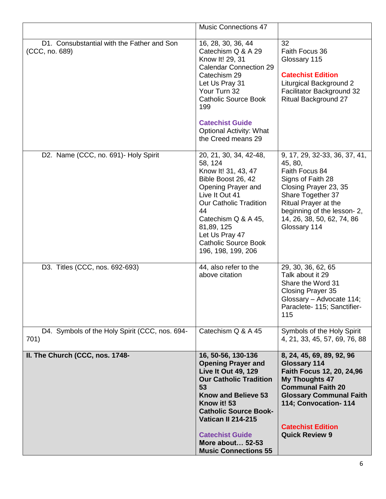|                                                              | <b>Music Connections 47</b>                                                                                                                                                                                                                                                                                        |                                                                                                                                                                                                                                                   |
|--------------------------------------------------------------|--------------------------------------------------------------------------------------------------------------------------------------------------------------------------------------------------------------------------------------------------------------------------------------------------------------------|---------------------------------------------------------------------------------------------------------------------------------------------------------------------------------------------------------------------------------------------------|
| D1. Consubstantial with the Father and Son<br>(CCC, no. 689) | 16, 28, 30, 36, 44<br>Catechism Q & A 29<br>Know It! 29, 31<br><b>Calendar Connection 29</b><br>Catechism 29<br>Let Us Pray 31<br>Your Turn 32<br><b>Catholic Source Book</b><br>199<br><b>Catechist Guide</b><br><b>Optional Activity: What</b><br>the Creed means 29                                             | 32<br>Faith Focus 36<br>Glossary 115<br><b>Catechist Edition</b><br><b>Liturgical Background 2</b><br>Facilitator Background 32<br><b>Ritual Background 27</b>                                                                                    |
| D2. Name (CCC, no. 691)- Holy Spirit                         | 20, 21, 30, 34, 42-48,<br>58, 124<br>Know It! 31, 43, 47<br>Bible Boost 26, 42<br>Opening Prayer and<br>Live It Out 41<br><b>Our Catholic Tradition</b><br>44<br>Catechism Q & A 45,<br>81,89, 125<br>Let Us Pray 47<br><b>Catholic Source Book</b><br>196, 198, 199, 206                                          | 9, 17, 29, 32-33, 36, 37, 41,<br>45, 80,<br>Faith Focus 84<br>Signs of Faith 28<br>Closing Prayer 23, 35<br>Share Together 37<br>Ritual Prayer at the<br>beginning of the lesson-2,<br>14, 26, 38, 50, 62, 74, 86<br>Glossary 114                 |
| D3. Titles (CCC, nos. 692-693)                               | 44, also refer to the<br>above citation                                                                                                                                                                                                                                                                            | 29, 30, 36, 62, 65<br>Talk about it 29<br>Share the Word 31<br>Closing Prayer 35<br>Glossary - Advocate 114;<br>Paraclete- 115; Sanctifier-<br>115                                                                                                |
| D4. Symbols of the Holy Spirit (CCC, nos. 694-<br>701)       | Catechism Q & A 45                                                                                                                                                                                                                                                                                                 | Symbols of the Holy Spirit<br>4, 21, 33, 45, 57, 69, 76, 88                                                                                                                                                                                       |
| II. The Church (CCC, nos. 1748-                              | 16, 50-56, 130-136<br><b>Opening Prayer and</b><br><b>Live It Out 49, 129</b><br><b>Our Catholic Tradition</b><br>53<br><b>Know and Believe 53</b><br>Know it! 53<br><b>Catholic Source Book-</b><br><b>Vatican II 214-215</b><br><b>Catechist Guide</b><br><b>More about 52-53</b><br><b>Music Connections 55</b> | 8, 24, 45, 69, 89, 92, 96<br><b>Glossary 114</b><br>Faith Focus 12, 20, 24,96<br><b>My Thoughts 47</b><br><b>Communal Faith 20</b><br><b>Glossary Communal Faith</b><br>114; Convocation-114<br><b>Catechist Edition</b><br><b>Quick Review 9</b> |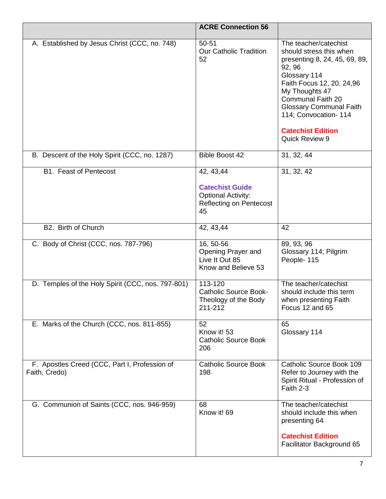|                                                                | <b>ACRE Connection 56</b>                                                                                 |                                                                                                                                                                                                                                                                                                       |
|----------------------------------------------------------------|-----------------------------------------------------------------------------------------------------------|-------------------------------------------------------------------------------------------------------------------------------------------------------------------------------------------------------------------------------------------------------------------------------------------------------|
| A. Established by Jesus Christ (CCC, no. 748)                  | 50-51<br><b>Our Catholic Tradition</b><br>52                                                              | The teacher/catechist<br>should stress this when<br>presenting 8, 24, 45, 69, 89,<br>92, 96<br>Glossary 114<br>Faith Focus 12, 20, 24,96<br>My Thoughts 47<br><b>Communal Faith 20</b><br><b>Glossary Communal Faith</b><br>114; Convocation-114<br><b>Catechist Edition</b><br><b>Quick Review 9</b> |
| B. Descent of the Holy Spirit (CCC, no. 1287)                  | <b>Bible Boost 42</b>                                                                                     | 31, 32, 44                                                                                                                                                                                                                                                                                            |
| <b>B1. Feast of Pentecost</b>                                  | 42, 43, 44<br><b>Catechist Guide</b><br><b>Optional Activity:</b><br><b>Reflecting on Pentecost</b><br>45 | 31, 32, 42                                                                                                                                                                                                                                                                                            |
| B2. Birth of Church                                            | 42, 43, 44                                                                                                | 42                                                                                                                                                                                                                                                                                                    |
| C. Body of Christ (CCC, nos. 787-796)                          | 16, 50-56<br>Opening Prayer and<br>Live It Out 85<br>Know and Believe 53                                  | 89, 93, 96<br>Glossary 114; Pilgrim<br>People-115                                                                                                                                                                                                                                                     |
| D. Temples of the Holy Spirit (CCC, nos. 797-801)              | 113-120<br><b>Catholic Source Book-</b><br>Theology of the Body<br>211-212                                | The teacher/catechist<br>should include this term<br>when presenting Faith<br>Focus 12 and 65                                                                                                                                                                                                         |
| E. Marks of the Church (CCC, nos. 811-855)                     | 52<br>Know it! 53<br><b>Catholic Source Book</b><br>206                                                   | 65<br>Glossary 114                                                                                                                                                                                                                                                                                    |
| F. Apostles Creed (CCC, Part I, Profession of<br>Faith, Credo) | <b>Catholic Source Book</b><br>198                                                                        | Catholic Source Book 109<br>Refer to Journey with the<br>Spirit Ritual - Profession of<br>Faith 2-3                                                                                                                                                                                                   |
| G. Communion of Saints (CCC, nos. 946-959)                     | 68<br>Know it! 69                                                                                         | The teacher/catechist<br>should include this when<br>presenting 64<br><b>Catechist Edition</b><br>Facilitator Background 65                                                                                                                                                                           |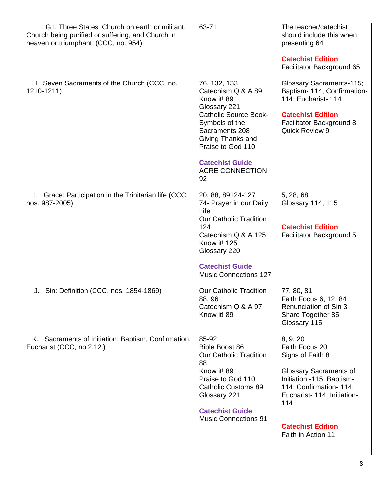| G1. Three States: Church on earth or militant,<br>Church being purified or suffering, and Church in<br>heaven or triumphant. (CCC, no. 954) | 63-71                                                                                                                                                                                                                                     | The teacher/catechist<br>should include this when<br>presenting 64<br><b>Catechist Edition</b><br>Facilitator Background 65                                                                                                     |
|---------------------------------------------------------------------------------------------------------------------------------------------|-------------------------------------------------------------------------------------------------------------------------------------------------------------------------------------------------------------------------------------------|---------------------------------------------------------------------------------------------------------------------------------------------------------------------------------------------------------------------------------|
| H. Seven Sacraments of the Church (CCC, no.<br>1210-1211)                                                                                   | 76, 132, 133<br>Catechism Q & A 89<br>Know it! 89<br>Glossary 221<br><b>Catholic Source Book-</b><br>Symbols of the<br>Sacraments 208<br>Giving Thanks and<br>Praise to God 110<br><b>Catechist Guide</b><br><b>ACRE CONNECTION</b><br>92 | <b>Glossary Sacraments-115;</b><br>Baptism- 114; Confirmation-<br>114; Eucharist- 114<br><b>Catechist Edition</b><br>Facilitator Background 8<br><b>Quick Review 9</b>                                                          |
| I. Grace: Participation in the Trinitarian life (CCC,<br>nos. 987-2005)                                                                     | 20, 88, 89124-127<br>74- Prayer in our Daily<br>Life<br><b>Our Catholic Tradition</b><br>124<br>Catechism Q & A 125<br>Know it! 125<br>Glossary 220<br><b>Catechist Guide</b><br><b>Music Connections 127</b>                             | 5, 28, 68<br>Glossary 114, 115<br><b>Catechist Edition</b><br>Facilitator Background 5                                                                                                                                          |
| J. Sin: Definition (CCC, nos. 1854-1869)                                                                                                    | <b>Our Catholic Tradition</b><br>88, 96<br>Catechism Q & A 97<br>Know it! 89                                                                                                                                                              | 77, 80, 81<br>Faith Focus 6, 12, 84<br>Renunciation of Sin 3<br>Share Together 85<br>Glossary 115                                                                                                                               |
| K. Sacraments of Initiation: Baptism, Confirmation,<br>Eucharist (CCC, no.2.12.)                                                            | 85-92<br><b>Bible Boost 86</b><br><b>Our Catholic Tradition</b><br>88<br>Know it! 89<br>Praise to God 110<br><b>Catholic Customs 89</b><br>Glossary 221<br><b>Catechist Guide</b><br><b>Music Connections 91</b>                          | 8, 9, 20<br>Faith Focus 20<br>Signs of Faith 8<br><b>Glossary Sacraments of</b><br>Initiation -115; Baptism-<br>114; Confirmation- 114;<br>Eucharist- 114; Initiation-<br>114<br><b>Catechist Edition</b><br>Faith in Action 11 |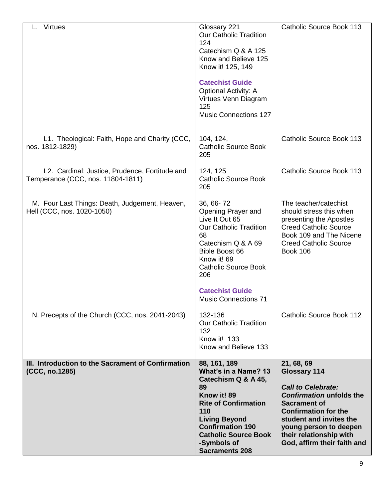| <b>Virtues</b>                                                                      | Glossary 221<br><b>Our Catholic Tradition</b><br>124<br>Catechism Q & A 125<br>Know and Believe 125<br>Know it! 125, 149<br><b>Catechist Guide</b><br><b>Optional Activity: A</b><br>Virtues Venn Diagram<br>125<br><b>Music Connections 127</b>      | Catholic Source Book 113                                                                                                                                                                                                                                               |
|-------------------------------------------------------------------------------------|-------------------------------------------------------------------------------------------------------------------------------------------------------------------------------------------------------------------------------------------------------|------------------------------------------------------------------------------------------------------------------------------------------------------------------------------------------------------------------------------------------------------------------------|
| L1. Theological: Faith, Hope and Charity (CCC,<br>nos. 1812-1829)                   | 104, 124,<br><b>Catholic Source Book</b><br>205                                                                                                                                                                                                       | Catholic Source Book 113                                                                                                                                                                                                                                               |
| L2. Cardinal: Justice, Prudence, Fortitude and<br>Temperance (CCC, nos. 11804-1811) | 124, 125<br><b>Catholic Source Book</b><br>205                                                                                                                                                                                                        | Catholic Source Book 113                                                                                                                                                                                                                                               |
| M. Four Last Things: Death, Judgement, Heaven,<br>Hell (CCC, nos. 1020-1050)        | 36, 66-72<br>Opening Prayer and<br>Live It Out 65<br><b>Our Catholic Tradition</b><br>68<br>Catechism Q & A 69<br><b>Bible Boost 66</b><br>Know it! 69<br><b>Catholic Source Book</b><br>206<br><b>Catechist Guide</b><br><b>Music Connections 71</b> | The teacher/catechist<br>should stress this when<br>presenting the Apostles<br><b>Creed Catholic Source</b><br>Book 109 and The Nicene<br><b>Creed Catholic Source</b><br><b>Book 106</b>                                                                              |
| N. Precepts of the Church (CCC, nos. 2041-2043)                                     | 132-136<br><b>Our Catholic Tradition</b><br>132<br>Know it! 133<br>Know and Believe 133                                                                                                                                                               | Catholic Source Book 112                                                                                                                                                                                                                                               |
| III. Introduction to the Sacrament of Confirmation<br>(CCC, no.1285)                | 88, 161, 189<br>What's in a Name? 13<br>Catechism Q & A 45,<br>89<br>Know it! 89<br><b>Rite of Confirmation</b><br>110<br><b>Living Beyond</b><br><b>Confirmation 190</b><br><b>Catholic Source Book</b><br>-Symbols of<br><b>Sacraments 208</b>      | 21, 68, 69<br><b>Glossary 114</b><br><b>Call to Celebrate:</b><br><b>Confirmation unfolds the</b><br><b>Sacrament of</b><br><b>Confirmation for the</b><br>student and invites the<br>young person to deepen<br>their relationship with<br>God, affirm their faith and |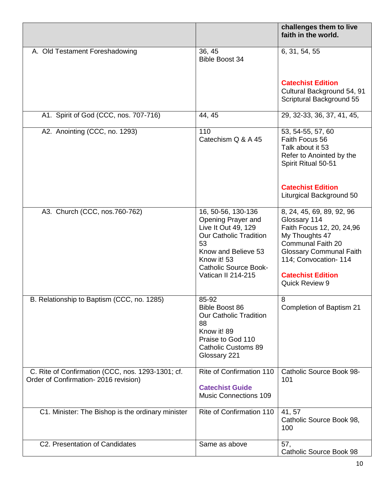|                                                                                           |                                                                                                                                                                                                    | challenges them to live<br>faith in the world.                                                                                                                                                                         |
|-------------------------------------------------------------------------------------------|----------------------------------------------------------------------------------------------------------------------------------------------------------------------------------------------------|------------------------------------------------------------------------------------------------------------------------------------------------------------------------------------------------------------------------|
| A. Old Testament Foreshadowing                                                            | 36, 45<br><b>Bible Boost 34</b>                                                                                                                                                                    | 6, 31, 54, 55                                                                                                                                                                                                          |
|                                                                                           |                                                                                                                                                                                                    | <b>Catechist Edition</b><br>Cultural Background 54, 91<br>Scriptural Background 55                                                                                                                                     |
| A1. Spirit of God (CCC, nos. 707-716)                                                     | 44, 45                                                                                                                                                                                             | 29, 32-33, 36, 37, 41, 45,                                                                                                                                                                                             |
| A2. Anointing (CCC, no. 1293)                                                             | 110<br>Catechism Q & A 45                                                                                                                                                                          | 53, 54-55, 57, 60<br>Faith Focus 56<br>Talk about it 53<br>Refer to Anointed by the<br>Spirit Ritual 50-51                                                                                                             |
|                                                                                           |                                                                                                                                                                                                    | <b>Catechist Edition</b><br>Liturgical Background 50                                                                                                                                                                   |
| A3. Church (CCC, nos.760-762)                                                             | 16, 50-56, 130-136<br>Opening Prayer and<br>Live It Out 49, 129<br><b>Our Catholic Tradition</b><br>53<br>Know and Believe 53<br>Know it! 53<br><b>Catholic Source Book-</b><br>Vatican II 214-215 | 8, 24, 45, 69, 89, 92, 96<br>Glossary 114<br>Faith Focus 12, 20, 24,96<br>My Thoughts 47<br>Communal Faith 20<br><b>Glossary Communal Faith</b><br>114; Convocation- 114<br><b>Catechist Edition</b><br>Quick Review 9 |
| B. Relationship to Baptism (CCC, no. 1285)                                                | 85-92<br><b>Bible Boost 86</b><br><b>Our Catholic Tradition</b><br>88<br>Know it! 89<br>Praise to God 110<br><b>Catholic Customs 89</b><br>Glossary 221                                            | 8<br>Completion of Baptism 21                                                                                                                                                                                          |
| C. Rite of Confirmation (CCC, nos. 1293-1301; cf.<br>Order of Confirmation-2016 revision) | Rite of Confirmation 110<br><b>Catechist Guide</b><br><b>Music Connections 109</b>                                                                                                                 | <b>Catholic Source Book 98-</b><br>101                                                                                                                                                                                 |
| C1. Minister: The Bishop is the ordinary minister                                         | Rite of Confirmation 110                                                                                                                                                                           | 41, 57<br>Catholic Source Book 98,<br>100                                                                                                                                                                              |
| C2. Presentation of Candidates                                                            | Same as above                                                                                                                                                                                      | 57,<br>Catholic Source Book 98                                                                                                                                                                                         |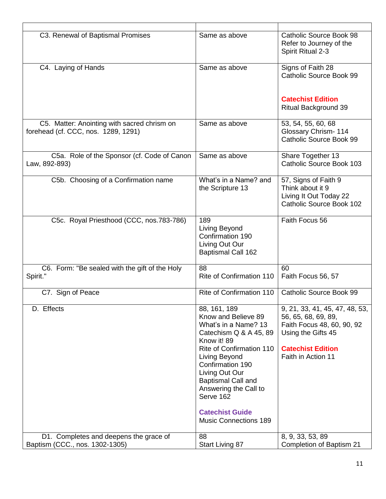| C3. Renewal of Baptismal Promises                                                  | Same as above                                                                                                                                                                                                                                                                                                        | Catholic Source Book 98<br>Refer to Journey of the<br>Spirit Ritual 2-3                                                                                     |
|------------------------------------------------------------------------------------|----------------------------------------------------------------------------------------------------------------------------------------------------------------------------------------------------------------------------------------------------------------------------------------------------------------------|-------------------------------------------------------------------------------------------------------------------------------------------------------------|
| C4. Laying of Hands                                                                | Same as above                                                                                                                                                                                                                                                                                                        | Signs of Faith 28<br>Catholic Source Book 99                                                                                                                |
|                                                                                    |                                                                                                                                                                                                                                                                                                                      | <b>Catechist Edition</b><br><b>Ritual Background 39</b>                                                                                                     |
| C5. Matter: Anointing with sacred chrism on<br>forehead (cf. CCC, nos. 1289, 1291) | Same as above                                                                                                                                                                                                                                                                                                        | 53, 54, 55, 60, 68<br><b>Glossary Chrism-114</b><br>Catholic Source Book 99                                                                                 |
| C5a. Role of the Sponsor (cf. Code of Canon<br>Law, 892-893)                       | Same as above                                                                                                                                                                                                                                                                                                        | Share Together 13<br>Catholic Source Book 103                                                                                                               |
| C5b. Choosing of a Confirmation name                                               | What's in a Name? and<br>the Scripture 13                                                                                                                                                                                                                                                                            | 57, Signs of Faith 9<br>Think about it 9<br>Living It Out Today 22<br>Catholic Source Book 102                                                              |
| C5c. Royal Priesthood (CCC, nos.783-786)                                           | 189<br>Living Beyond<br>Confirmation 190<br>Living Out Our<br><b>Baptismal Call 162</b>                                                                                                                                                                                                                              | Faith Focus 56                                                                                                                                              |
| C6. Form: "Be sealed with the gift of the Holy<br>Spirit."                         | 88<br><b>Rite of Confirmation 110</b>                                                                                                                                                                                                                                                                                | 60<br>Faith Focus 56, 57                                                                                                                                    |
| C7. Sign of Peace                                                                  | Rite of Confirmation 110                                                                                                                                                                                                                                                                                             | Catholic Source Book 99                                                                                                                                     |
| D. Effects                                                                         | 88, 161, 189<br>Know and Believe 89<br>What's in a Name? 13<br>Catechism Q & A 45, 89<br>Know it! 89<br>Rite of Confirmation 110<br>Living Beyond<br>Confirmation 190<br>Living Out Our<br><b>Baptismal Call and</b><br>Answering the Call to<br>Serve 162<br><b>Catechist Guide</b><br><b>Music Connections 189</b> | 9, 21, 33, 41, 45, 47, 48, 53,<br>56, 65, 68, 69, 89,<br>Faith Focus 48, 60, 90, 92<br>Using the Gifts 45<br><b>Catechist Edition</b><br>Faith in Action 11 |
| D1. Completes and deepens the grace of<br>Baptism (CCC., nos. 1302-1305)           | 88<br>Start Living 87                                                                                                                                                                                                                                                                                                | 8, 9, 33, 53, 89<br>Completion of Baptism 21                                                                                                                |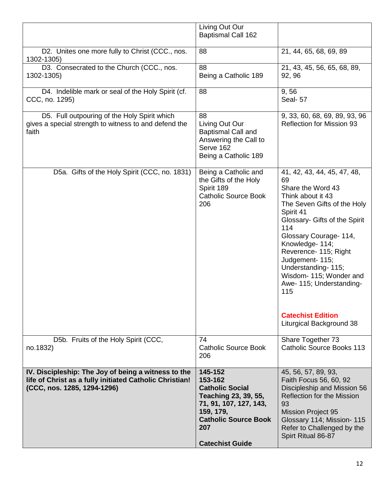|                                                                                                                                               | Living Out Our<br><b>Baptismal Call 162</b>                                                                                                                                 |                                                                                                                                                                                                                                                                                                                                                                                                      |
|-----------------------------------------------------------------------------------------------------------------------------------------------|-----------------------------------------------------------------------------------------------------------------------------------------------------------------------------|------------------------------------------------------------------------------------------------------------------------------------------------------------------------------------------------------------------------------------------------------------------------------------------------------------------------------------------------------------------------------------------------------|
| D2. Unites one more fully to Christ (CCC., nos.<br>1302-1305)                                                                                 | 88                                                                                                                                                                          | 21, 44, 65, 68, 69, 89                                                                                                                                                                                                                                                                                                                                                                               |
| D3. Consecrated to the Church (CCC., nos.<br>1302-1305)                                                                                       | 88<br>Being a Catholic 189                                                                                                                                                  | 21, 43, 45, 56, 65, 68, 89,<br>92, 96                                                                                                                                                                                                                                                                                                                                                                |
| D4. Indelible mark or seal of the Holy Spirit (cf.<br>CCC, no. 1295)                                                                          | 88                                                                                                                                                                          | 9,56<br>Seal-57                                                                                                                                                                                                                                                                                                                                                                                      |
| D5. Full outpouring of the Holy Spirit which<br>gives a special strength to witness to and defend the<br>faith                                | 88<br>Living Out Our<br><b>Baptismal Call and</b><br>Answering the Call to<br>Serve 162<br>Being a Catholic 189                                                             | 9, 33, 60, 68, 69, 89, 93, 96<br><b>Reflection for Mission 93</b>                                                                                                                                                                                                                                                                                                                                    |
| D5a. Gifts of the Holy Spirit (CCC, no. 1831)                                                                                                 | Being a Catholic and<br>the Gifts of the Holy<br>Spirit 189<br><b>Catholic Source Book</b><br>206                                                                           | 41, 42, 43, 44, 45, 47, 48,<br>69<br>Share the Word 43<br>Think about it 43<br>The Seven Gifts of the Holy<br>Spirit 41<br>Glossary- Gifts of the Spirit<br>114<br>Glossary Courage- 114,<br>Knowledge- 114;<br>Reverence- 115; Right<br>Judgement- 115;<br>Understanding-115;<br>Wisdom- 115; Wonder and<br>Awe- 115; Understanding-<br>115<br><b>Catechist Edition</b><br>Liturgical Background 38 |
| D5b. Fruits of the Holy Spirit (CCC,<br>no.1832)                                                                                              | 74<br><b>Catholic Source Book</b><br>206                                                                                                                                    | Share Together 73<br><b>Catholic Source Books 113</b>                                                                                                                                                                                                                                                                                                                                                |
| IV. Discipleship: The Joy of being a witness to the<br>life of Christ as a fully initiated Catholic Christian!<br>(CCC, nos. 1285, 1294-1296) | 145-152<br>153-162<br><b>Catholic Social</b><br>Teaching 23, 39, 55,<br>71, 91, 107, 127, 143,<br>159, 179,<br><b>Catholic Source Book</b><br>207<br><b>Catechist Guide</b> | 45, 56, 57, 89, 93,<br>Faith Focus 56, 60, 92<br>Discipleship and Mission 56<br>Reflection for the Mission<br>93<br><b>Mission Project 95</b><br>Glossary 114; Mission- 115<br>Refer to Challenged by the<br>Spirt Ritual 86-87                                                                                                                                                                      |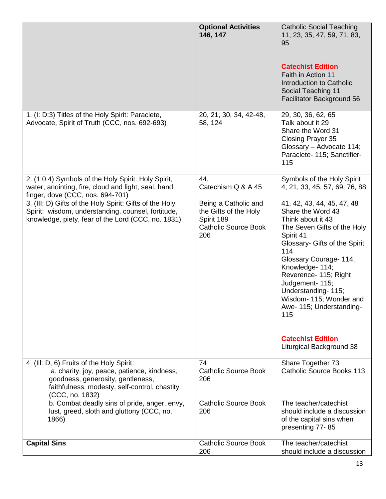|                                                                                                                                                                                                    | <b>Optional Activities</b><br>146, 147                                                            | <b>Catholic Social Teaching</b><br>11, 23, 35, 47, 59, 71, 83,<br>95<br><b>Catechist Edition</b><br>Faith in Action 11<br>Introduction to Catholic<br>Social Teaching 11<br>Facilitator Background 56                                                                                                                                                                                         |
|----------------------------------------------------------------------------------------------------------------------------------------------------------------------------------------------------|---------------------------------------------------------------------------------------------------|-----------------------------------------------------------------------------------------------------------------------------------------------------------------------------------------------------------------------------------------------------------------------------------------------------------------------------------------------------------------------------------------------|
| 1. (I: D:3) Titles of the Holy Spirit: Paraclete,<br>Advocate, Spirit of Truth (CCC, nos. 692-693)                                                                                                 | 20, 21, 30, 34, 42-48,<br>58, 124                                                                 | 29, 30, 36, 62, 65<br>Talk about it 29<br>Share the Word 31<br>Closing Prayer 35<br>Glossary - Advocate 114;<br>Paraclete- 115; Sanctifier-<br>115                                                                                                                                                                                                                                            |
| 2. (1:0:4) Symbols of the Holy Spirit: Holy Spirit,<br>water, anointing, fire, cloud and light, seal, hand,<br>finger, dove (CCC, nos. 694-701)                                                    | 44,<br>Catechism Q & A 45                                                                         | Symbols of the Holy Spirit<br>4, 21, 33, 45, 57, 69, 76, 88                                                                                                                                                                                                                                                                                                                                   |
| 3. (III: D) Gifts of the Holy Spirit: Gifts of the Holy<br>Spirit: wisdom, understanding, counsel, fortitude,<br>knowledge, piety, fear of the Lord (CCC, no. 1831)                                | Being a Catholic and<br>the Gifts of the Holy<br>Spirit 189<br><b>Catholic Source Book</b><br>206 | 41, 42, 43, 44, 45, 47, 48<br>Share the Word 43<br>Think about it 43<br>The Seven Gifts of the Holy<br>Spirit 41<br>Glossary- Gifts of the Spirit<br>114<br>Glossary Courage- 114,<br>Knowledge- 114;<br>Reverence- 115; Right<br>Judgement- 115;<br>Understanding-115;<br>Wisdom- 115; Wonder and<br>Awe- 115; Understanding-<br>115<br><b>Catechist Edition</b><br>Liturgical Background 38 |
| 4. (III: D, 6) Fruits of the Holy Spirit:<br>a. charity, joy, peace, patience, kindness,<br>goodness, generosity, gentleness,<br>faithfulness, modesty, self-control, chastity.<br>(CCC, no. 1832) | 74<br><b>Catholic Source Book</b><br>206                                                          | Share Together 73<br><b>Catholic Source Books 113</b>                                                                                                                                                                                                                                                                                                                                         |
| b. Combat deadly sins of pride, anger, envy,<br>lust, greed, sloth and gluttony (CCC, no.<br>1866)                                                                                                 | <b>Catholic Source Book</b><br>206                                                                | The teacher/catechist<br>should include a discussion<br>of the capital sins when<br>presenting 77-85                                                                                                                                                                                                                                                                                          |
| <b>Capital Sins</b>                                                                                                                                                                                | <b>Catholic Source Book</b><br>206                                                                | The teacher/catechist<br>should include a discussion                                                                                                                                                                                                                                                                                                                                          |